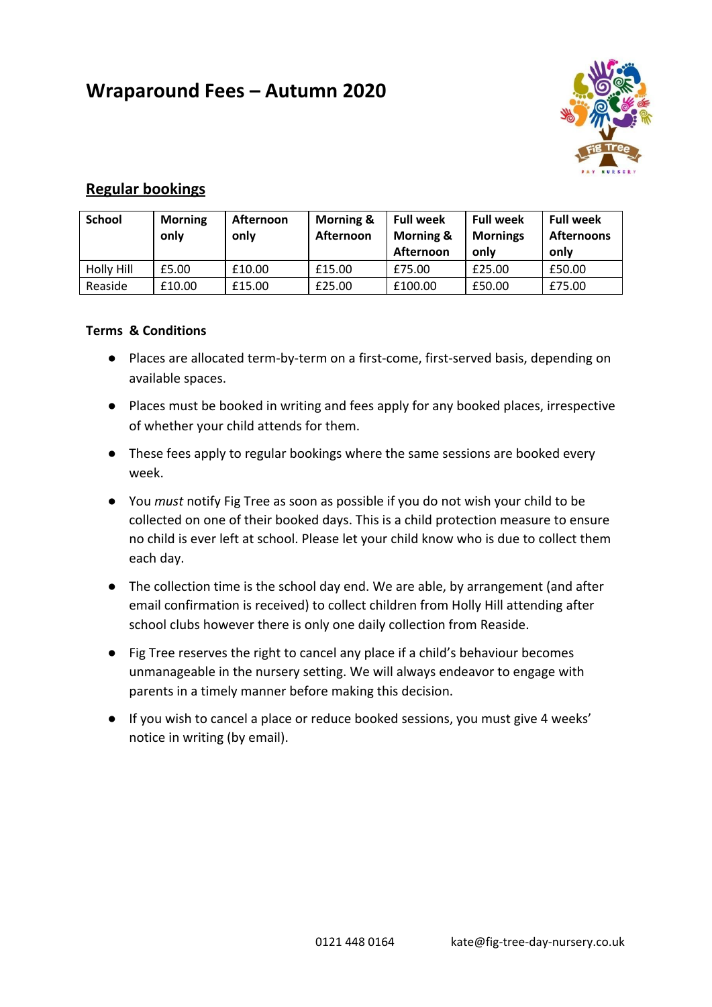# **Wraparound Fees – Autumn 2020**



# **Regular bookings**

| <b>School</b> | <b>Morning</b><br>only | Afternoon<br>only | <b>Morning &amp;</b><br>Afternoon | <b>Full week</b><br><b>Morning &amp;</b><br>Afternoon | <b>Full week</b><br><b>Mornings</b><br>only | <b>Full week</b><br><b>Afternoons</b><br>only |
|---------------|------------------------|-------------------|-----------------------------------|-------------------------------------------------------|---------------------------------------------|-----------------------------------------------|
| Holly Hill    | £5.00                  | £10.00            | £15.00                            | £75.00                                                | £25.00                                      | £50.00                                        |
| Reaside       | £10.00                 | £15.00            | £25.00                            | £100.00                                               | £50.00                                      | £75.00                                        |

#### **Terms & Conditions**

- Places are allocated term-by-term on a first-come, first-served basis, depending on available spaces.
- Places must be booked in writing and fees apply for any booked places, irrespective of whether your child attends for them.
- These fees apply to regular bookings where the same sessions are booked every week.
- You *must* notify Fig Tree as soon as possible if you do not wish your child to be collected on one of their booked days. This is a child protection measure to ensure no child is ever left at school. Please let your child know who is due to collect them each day.
- The collection time is the school day end. We are able, by arrangement (and after email confirmation is received) to collect children from Holly Hill attending after school clubs however there is only one daily collection from Reaside.
- Fig Tree reserves the right to cancel any place if a child's behaviour becomes unmanageable in the nursery setting. We will always endeavor to engage with parents in a timely manner before making this decision.
- If you wish to cancel a place or reduce booked sessions, you must give 4 weeks' notice in writing (by email).